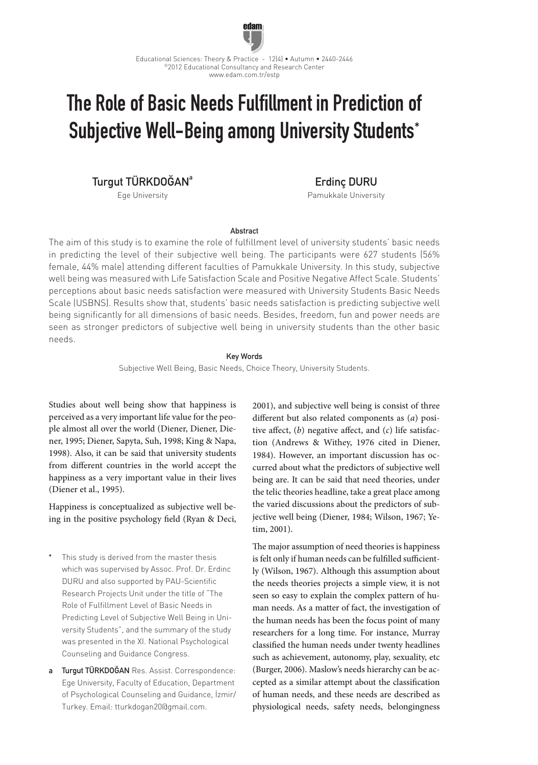

# The Role of Basic Needs Fulfillment in Prediction of Subjective Well-Being among University Students\*

Turgut TÜRKDOĞAN<sup>a</sup>

Ege University

Erdinç DURU Pamukkale University

**Abstract** 

The aim of this study is to examine the role of fulfillment level of university students' basic needs in predicting the level of their subjective well being. The participants were 627 students (56% female, 44% male) attending different faculties of Pamukkale University. In this study, subjective well being was measured with Life Satisfaction Scale and Positive Negative Affect Scale. Students' perceptions about basic needs satisfaction were measured with University Students Basic Needs Scale (USBNS). Results show that, students' basic needs satisfaction is predicting subjective well being significantly for all dimensions of basic needs. Besides, freedom, fun and power needs are seen as stronger predictors of subjective well being in university students than the other basic needs.

## Key Words

Subjective Well Being, Basic Needs, Choice Theory, University Students.

Studies about well being show that happiness is perceived as a very important life value for the people almost all over the world (Diener, Diener, Diener, 1995; Diener, Sapyta, Suh, 1998; King & Napa, 1998). Also, it can be said that university students from different countries in the world accept the happiness as a very important value in their lives (Diener et al., 1995).

Happiness is conceptualized as subjective well being in the positive psychology field (Ryan & Deci,

- This study is derived from the master thesis which was supervised by Assoc. Prof. Dr. Erdinc DURU and also supported by PAU-Scientific Research Projects Unit under the title of "The Role of Fulfillment Level of Basic Needs in Predicting Level of Subjective Well Being in University Students", and the summary of the study was presented in the XI. National Psychological Counseling and Guidance Congress.
- Turgut TÜRKDOĞAN Res. Assist. Correspondence: Ege University, Faculty of Education, Department of Psychological Counseling and Guidance, İzmir/ Turkey. Email: tturkdogan20@gmail.com.

2001), and subjective well being is consist of three different but also related components as (*a*) positive affect, (*b*) negative affect, and (*c*) life satisfaction (Andrews & Withey, 1976 cited in Diener, 1984). However, an important discussion has occurred about what the predictors of subjective well being are. It can be said that need theories, under the telic theories headline, take a great place among the varied discussions about the predictors of subjective well being (Diener, 1984; Wilson, 1967; Yetim, 2001).

The major assumption of need theories is happiness is felt only if human needs can be fulfilled sufficiently (Wilson, 1967). Although this assumption about the needs theories projects a simple view, it is not seen so easy to explain the complex pattern of human needs. As a matter of fact, the investigation of the human needs has been the focus point of many researchers for a long time. For instance, Murray classified the human needs under twenty headlines such as achievement, autonomy, play, sexuality, etc (Burger, 2006). Maslow's needs hierarchy can be accepted as a similar attempt about the classification of human needs, and these needs are described as physiological needs, safety needs, belongingness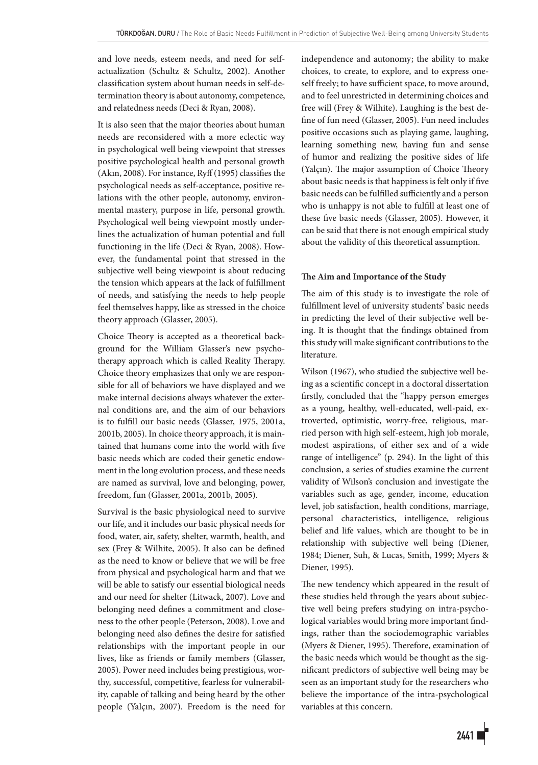and love needs, esteem needs, and need for selfactualization (Schultz & Schultz, 2002). Another classification system about human needs in self-determination theory is about autonomy, competence, and relatedness needs (Deci & Ryan, 2008).

It is also seen that the major theories about human needs are reconsidered with a more eclectic way in psychological well being viewpoint that stresses positive psychological health and personal growth (Akın, 2008). For instance, Ryff (1995) classifies the psychological needs as self-acceptance, positive relations with the other people, autonomy, environmental mastery, purpose in life, personal growth. Psychological well being viewpoint mostly underlines the actualization of human potential and full functioning in the life (Deci & Ryan, 2008). However, the fundamental point that stressed in the subjective well being viewpoint is about reducing the tension which appears at the lack of fulfillment of needs, and satisfying the needs to help people feel themselves happy, like as stressed in the choice theory approach (Glasser, 2005).

Choice Theory is accepted as a theoretical background for the William Glasser's new psychotherapy approach which is called Reality Therapy. Choice theory emphasizes that only we are responsible for all of behaviors we have displayed and we make internal decisions always whatever the external conditions are, and the aim of our behaviors is to fulfill our basic needs (Glasser, 1975, 2001a, 2001b, 2005). In choice theory approach, it is maintained that humans come into the world with five basic needs which are coded their genetic endowment in the long evolution process, and these needs are named as survival, love and belonging, power, freedom, fun (Glasser, 2001a, 2001b, 2005).

Survival is the basic physiological need to survive our life, and it includes our basic physical needs for food, water, air, safety, shelter, warmth, health, and sex (Frey & Wilhite, 2005). It also can be defined as the need to know or believe that we will be free from physical and psychological harm and that we will be able to satisfy our essential biological needs and our need for shelter (Litwack, 2007). Love and belonging need defines a commitment and closeness to the other people (Peterson, 2008). Love and belonging need also defines the desire for satisfied relationships with the important people in our lives, like as friends or family members (Glasser, 2005). Power need includes being prestigious, worthy, successful, competitive, fearless for vulnerability, capable of talking and being heard by the other people (Yalçın, 2007). Freedom is the need for independence and autonomy; the ability to make choices, to create, to explore, and to express oneself freely; to have sufficient space, to move around, and to feel unrestricted in determining choices and free will (Frey & Wilhite). Laughing is the best define of fun need (Glasser, 2005). Fun need includes positive occasions such as playing game, laughing, learning something new, having fun and sense of humor and realizing the positive sides of life (Yalçın). The major assumption of Choice Theory about basic needs is that happiness is felt only if five basic needs can be fulfilled sufficiently and a person who is unhappy is not able to fulfill at least one of these five basic needs (Glasser, 2005). However, it can be said that there is not enough empirical study about the validity of this theoretical assumption.

## **The Aim and Importance of the Study**

The aim of this study is to investigate the role of fulfillment level of university students' basic needs in predicting the level of their subjective well being. It is thought that the findings obtained from this study will make significant contributions to the literature.

Wilson (1967), who studied the subjective well being as a scientific concept in a doctoral dissertation firstly, concluded that the "happy person emerges as a young, healthy, well-educated, well-paid, extroverted, optimistic, worry-free, religious, married person with high self-esteem, high job morale, modest aspirations, of either sex and of a wide range of intelligence" (p. 294). In the light of this conclusion, a series of studies examine the current validity of Wilson's conclusion and investigate the variables such as age, gender, income, education level, job satisfaction, health conditions, marriage, personal characteristics, intelligence, religious belief and life values, which are thought to be in relationship with subjective well being (Diener, 1984; Diener, Suh, & Lucas, Smith, 1999; Myers & Diener, 1995).

The new tendency which appeared in the result of these studies held through the years about subjective well being prefers studying on intra-psychological variables would bring more important findings, rather than the sociodemographic variables (Myers & Diener, 1995). Therefore, examination of the basic needs which would be thought as the significant predictors of subjective well being may be seen as an important study for the researchers who believe the importance of the intra-psychological variables at this concern.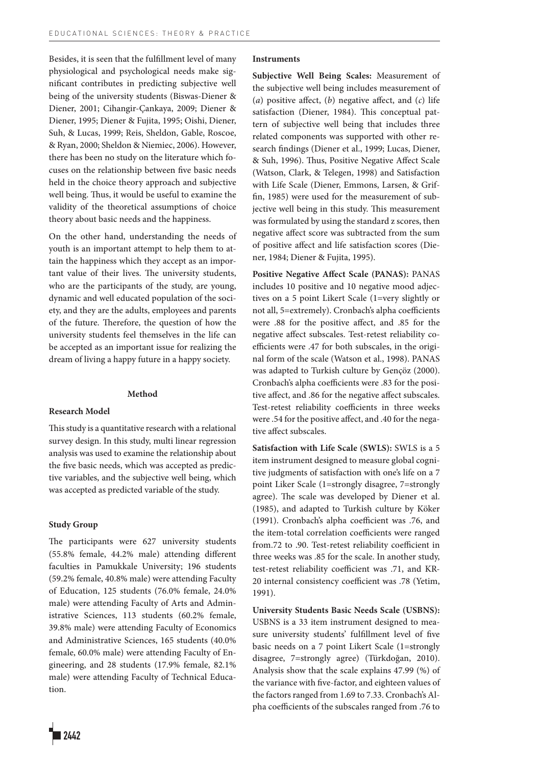Besides, it is seen that the fulfillment level of many physiological and psychological needs make significant contributes in predicting subjective well being of the university students (Biswas-Diener & Diener, 2001; Cihangir-Çankaya, 2009; Diener & Diener, 1995; Diener & Fujita, 1995; Oishi, Diener, Suh, & Lucas, 1999; Reis, Sheldon, Gable, Roscoe, & Ryan, 2000; Sheldon & Niemiec, 2006). However, there has been no study on the literature which focuses on the relationship between five basic needs held in the choice theory approach and subjective well being. Thus, it would be useful to examine the validity of the theoretical assumptions of choice theory about basic needs and the happiness.

On the other hand, understanding the needs of youth is an important attempt to help them to attain the happiness which they accept as an important value of their lives. The university students, who are the participants of the study, are young, dynamic and well educated population of the society, and they are the adults, employees and parents of the future. Therefore, the question of how the university students feel themselves in the life can be accepted as an important issue for realizing the dream of living a happy future in a happy society.

## **Method**

#### **Research Model**

This study is a quantitative research with a relational survey design. In this study, multi linear regression analysis was used to examine the relationship about the five basic needs, which was accepted as predictive variables, and the subjective well being, which was accepted as predicted variable of the study.

#### **Study Group**

The participants were 627 university students (55.8% female, 44.2% male) attending different faculties in Pamukkale University; 196 students (59.2% female, 40.8% male) were attending Faculty of Education, 125 students (76.0% female, 24.0% male) were attending Faculty of Arts and Administrative Sciences, 113 students (60.2% female, 39.8% male) were attending Faculty of Economics and Administrative Sciences, 165 students (40.0% female, 60.0% male) were attending Faculty of Engineering, and 28 students (17.9% female, 82.1% male) were attending Faculty of Technical Education.

# **Instruments**

**Subjective Well Being Scales:** Measurement of the subjective well being includes measurement of (*a*) positive affect, (*b*) negative affect, and (*c*) life satisfaction (Diener, 1984). This conceptual pattern of subjective well being that includes three related components was supported with other research findings (Diener et al., 1999; Lucas, Diener, & Suh, 1996). Thus, Positive Negative Affect Scale (Watson, Clark, & Telegen, 1998) and Satisfaction with Life Scale (Diener, Emmons, Larsen, & Griffin, 1985) were used for the measurement of subjective well being in this study. This measurement was formulated by using the standard z scores, then negative affect score was subtracted from the sum of positive affect and life satisfaction scores (Diener, 1984; Diener & Fujita, 1995).

**Positive Negative Affect Scale (PANAS):** PANAS includes 10 positive and 10 negative mood adjectives on a 5 point Likert Scale (1=very slightly or not all, 5=extremely). Cronbach's alpha coefficients were .88 for the positive affect, and .85 for the negative affect subscales. Test-retest reliability coefficients were .47 for both subscales, in the original form of the scale (Watson et al., 1998). PANAS was adapted to Turkish culture by Gençöz (2000). Cronbach's alpha coefficients were .83 for the positive affect, and .86 for the negative affect subscales. Test-retest reliability coefficients in three weeks were .54 for the positive affect, and .40 for the negative affect subscales.

**Satisfaction with Life Scale (SWLS):** SWLS is a 5 item instrument designed to measure global cognitive judgments of satisfaction with one's life on a 7 point Liker Scale (1=strongly disagree, 7=strongly agree). The scale was developed by Diener et al. (1985), and adapted to Turkish culture by Köker (1991). Cronbach's alpha coefficient was .76, and the item-total correlation coefficients were ranged from.72 to .90. Test-retest reliability coefficient in three weeks was .85 for the scale. In another study, test-retest reliability coefficient was .71, and KR-20 internal consistency coefficient was .78 (Yetim, 1991).

**University Students Basic Needs Scale (USBNS):**  USBNS is a 33 item instrument designed to measure university students' fulfillment level of five basic needs on a 7 point Likert Scale (1=strongly disagree, 7=strongly agree) (Türkdoğan, 2010). Analysis show that the scale explains 47.99 (%) of the variance with five-factor, and eighteen values of the factors ranged from 1.69 to 7.33. Cronbach's Alpha coefficients of the subscales ranged from .76 to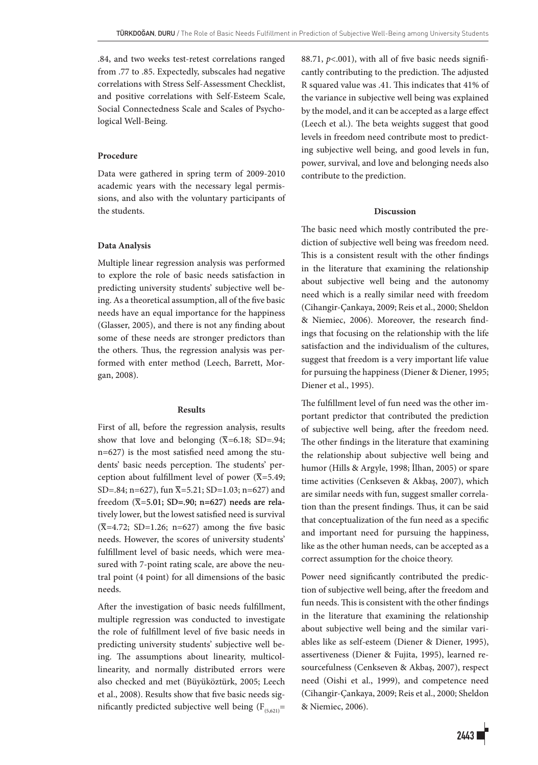.84, and two weeks test-retest correlations ranged from .77 to .85. Expectedly, subscales had negative correlations with Stress Self-Assessment Checklist, and positive correlations with Self-Esteem Scale, Social Connectedness Scale and Scales of Psychological Well-Being.

# **Procedure**

Data were gathered in spring term of 2009-2010 academic years with the necessary legal permissions, and also with the voluntary participants of the students.

# **Data Analysis**

Multiple linear regression analysis was performed to explore the role of basic needs satisfaction in predicting university students' subjective well being. As a theoretical assumption, all of the five basic needs have an equal importance for the happiness (Glasser, 2005), and there is not any finding about some of these needs are stronger predictors than the others. Thus, the regression analysis was performed with enter method (Leech, Barrett, Morgan, 2008).

## **Results**

First of all, before the regression analysis, results show that love and belonging  $(\overline{X}=6.18; SD=.94;$ n=627) is the most satisfied need among the students' basic needs perception. The students' perception about fulfillment level of power ( $\overline{X}$ =5.49; SD=.84; n=627), fun  $\overline{X}$ =5.21; SD=1.03; n=627) and freedom  $(\overline{X}=5.01; SD=.90; n=627)$  needs are relatively lower, but the lowest satisfied need is survival  $(\overline{X}=4.72; SD=1.26; n=627)$  among the five basic needs. However, the scores of university students' fulfillment level of basic needs, which were measured with 7-point rating scale, are above the neutral point (4 point) for all dimensions of the basic needs.

After the investigation of basic needs fulfillment, multiple regression was conducted to investigate the role of fulfillment level of five basic needs in predicting university students' subjective well being. The assumptions about linearity, multicollinearity, and normally distributed errors were also checked and met (Büyüköztürk, 2005; Leech et al., 2008). Results show that five basic needs significantly predicted subjective well being  $(F_{(5,621)}$ = 88.71,  $p$ <.001), with all of five basic needs significantly contributing to the prediction. The adjusted R squared value was .41. This indicates that 41% of the variance in subjective well being was explained by the model, and it can be accepted as a large effect (Leech et al.). The beta weights suggest that good levels in freedom need contribute most to predicting subjective well being, and good levels in fun, power, survival, and love and belonging needs also contribute to the prediction.

## **Discussion**

The basic need which mostly contributed the prediction of subjective well being was freedom need. This is a consistent result with the other findings in the literature that examining the relationship about subjective well being and the autonomy need which is a really similar need with freedom (Cihangir-Çankaya, 2009; Reis et al., 2000; Sheldon & Niemiec, 2006). Moreover, the research findings that focusing on the relationship with the life satisfaction and the individualism of the cultures, suggest that freedom is a very important life value for pursuing the happiness (Diener & Diener, 1995; Diener et al., 1995).

The fulfillment level of fun need was the other important predictor that contributed the prediction of subjective well being, after the freedom need. The other findings in the literature that examining the relationship about subjective well being and humor (Hills & Argyle, 1998; İlhan, 2005) or spare time activities (Cenkseven & Akbaş, 2007), which are similar needs with fun, suggest smaller correlation than the present findings. Thus, it can be said that conceptualization of the fun need as a specific and important need for pursuing the happiness, like as the other human needs, can be accepted as a correct assumption for the choice theory.

Power need significantly contributed the prediction of subjective well being, after the freedom and fun needs. This is consistent with the other findings in the literature that examining the relationship about subjective well being and the similar variables like as self-esteem (Diener & Diener, 1995), assertiveness (Diener & Fujita, 1995), learned resourcefulness (Cenkseven & Akbaş, 2007), respect need (Oishi et al., 1999), and competence need (Cihangir-Çankaya, 2009; Reis et al., 2000; Sheldon & Niemiec, 2006).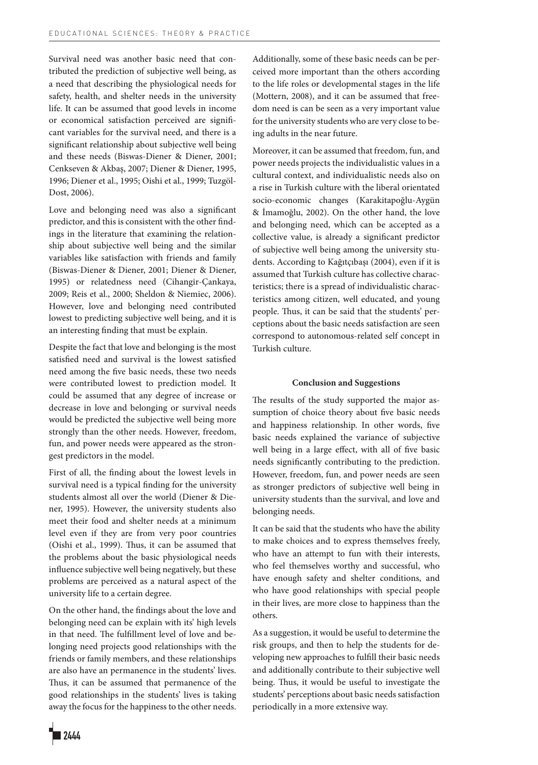Survival need was another basic need that contributed the prediction of subjective well being, as a need that describing the physiological needs for safety, health, and shelter needs in the university life. It can be assumed that good levels in income or economical satisfaction perceived are significant variables for the survival need, and there is a significant relationship about subjective well being and these needs (Biswas-Diener & Diener, 2001; Cenkseven & Akbaş, 2007; Diener & Diener, 1995, 1996; Diener et al., 1995; Oishi et al., 1999; Tuzgöl-Dost, 2006).

Love and belonging need was also a significant predictor, and this is consistent with the other findings in the literature that examining the relationship about subjective well being and the similar variables like satisfaction with friends and family (Biswas-Diener & Diener, 2001; Diener & Diener, 1995) or relatedness need (Cihangir-Çankaya, 2009; Reis et al., 2000; Sheldon & Niemiec, 2006). However, love and belonging need contributed lowest to predicting subjective well being, and it is an interesting finding that must be explain.

Despite the fact that love and belonging is the most satisfied need and survival is the lowest satisfied need among the five basic needs, these two needs were contributed lowest to prediction model. It could be assumed that any degree of increase or decrease in love and belonging or survival needs would be predicted the subjective well being more strongly than the other needs. However, freedom, fun, and power needs were appeared as the strongest predictors in the model.

First of all, the finding about the lowest levels in survival need is a typical finding for the university students almost all over the world (Diener & Diener, 1995). However, the university students also meet their food and shelter needs at a minimum level even if they are from very poor countries (Oishi et al., 1999). Thus, it can be assumed that the problems about the basic physiological needs influence subjective well being negatively, but these problems are perceived as a natural aspect of the university life to a certain degree.

On the other hand, the findings about the love and belonging need can be explain with its' high levels in that need. The fulfillment level of love and belonging need projects good relationships with the friends or family members, and these relationships are also have an permanence in the students' lives. Thus, it can be assumed that permanence of the good relationships in the students' lives is taking away the focus for the happiness to the other needs.

Additionally, some of these basic needs can be perceived more important than the others according to the life roles or developmental stages in the life (Mottern, 2008), and it can be assumed that freedom need is can be seen as a very important value for the university students who are very close to being adults in the near future.

Moreover, it can be assumed that freedom, fun, and power needs projects the individualistic values in a cultural context, and individualistic needs also on a rise in Turkish culture with the liberal orientated socio-economic changes (Karakitapoğlu-Aygün & İmamoğlu, 2002). On the other hand, the love and belonging need, which can be accepted as a collective value, is already a significant predictor of subjective well being among the university students. According to Kağıtçıbaşı (2004), even if it is assumed that Turkish culture has collective characteristics; there is a spread of individualistic characteristics among citizen, well educated, and young people. Thus, it can be said that the students' perceptions about the basic needs satisfaction are seen correspond to autonomous-related self concept in Turkish culture.

# **Conclusion and Suggestions**

The results of the study supported the major assumption of choice theory about five basic needs and happiness relationship. In other words, five basic needs explained the variance of subjective well being in a large effect, with all of five basic needs significantly contributing to the prediction. However, freedom, fun, and power needs are seen as stronger predictors of subjective well being in university students than the survival, and love and belonging needs.

It can be said that the students who have the ability to make choices and to express themselves freely, who have an attempt to fun with their interests, who feel themselves worthy and successful, who have enough safety and shelter conditions, and who have good relationships with special people in their lives, are more close to happiness than the others.

As a suggestion, it would be useful to determine the risk groups, and then to help the students for developing new approaches to fulfill their basic needs and additionally contribute to their subjective well being. Thus, it would be useful to investigate the students' perceptions about basic needs satisfaction periodically in a more extensive way.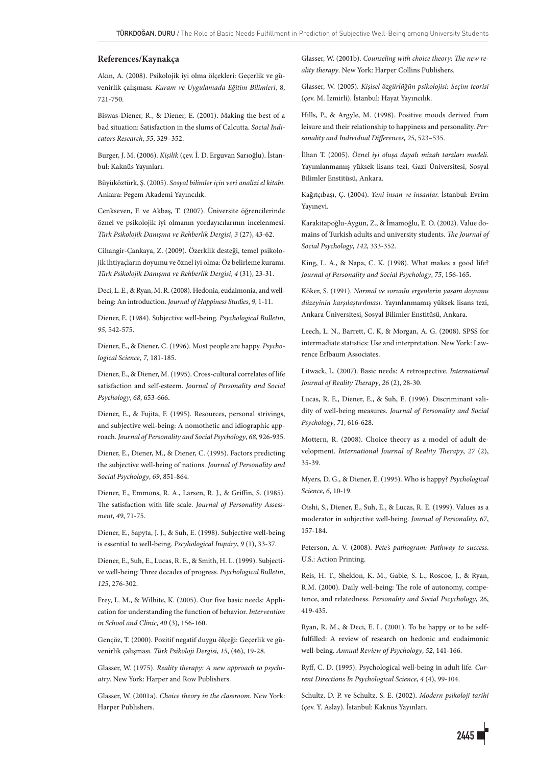#### **References/Kaynakça**

Akın, A. (2008). Psikolojik iyi olma ölçekleri: Geçerlik ve güvenirlik çalışması. *Kuram ve Uygulamada Eğitim Bilimleri*, 8, 721-750.

Biswas-Diener, R., & Diener, E. (2001). Making the best of a bad situation: Satisfaction in the slums of Calcutta. *Social Indicators Research*, *55*, 329–352.

Burger, J. M. (2006). *Kişilik* (çev. İ. D. Erguvan Sarıoğlu). İstanbul: Kaknüs Yayınları.

Büyüköztürk, Ş. (2005). *Sosyal bilimler için veri analizi el kitabı.* Ankara: Pegem Akademi Yayıncılık.

Cenkseven, F. ve Akbaş, T. (2007). Üniversite öğrencilerinde öznel ve psikolojik iyi olmanın yordayıcılarının incelenmesi. *Türk Psikolojik Danışma ve Rehberlik Dergisi*, *3* (27), 43-62.

Cihangir-Çankaya, Z. (2009). Özerklik desteği, temel psikolojik ihtiyaçların doyumu ve öznel iyi olma: Öz belirleme kuramı. *Türk Psikolojik Danışma ve Rehberlik Dergisi*, *4* (31), 23-31.

Deci, L. E., & Ryan, M. R. (2008). Hedonia, eudaimonia, and wellbeing: An introduction. *Journal of Happiness Studies*, *9*, 1-11.

Diener, E. (1984). Subjective well-being. *Psychological Bulletin*, *95*, 542-575.

Diener, E., & Diener, C. (1996). Most people are happy. *Psychological Science*, *7*, 181-185.

Diener, E., & Diener, M. (1995). Cross-cultural correlates of life satisfaction and self-esteem. *Journal of Personality and Social Psychology*, *68*, 653-666.

Diener, E., & Fujita, F. (1995). Resources, personal strivings, and subjective well-being: A nomothetic and idiographic approach. *Journal of Personality and Social Psychology*, *68*, 926-935.

Diener, E., Diener, M., & Diener, C. (1995). Factors predicting the subjective well-being of nations. *Journal of Personality and Social Psychology*, *69*, 851-864.

Diener, E., Emmons, R. A., Larsen, R. J., & Griffin, S. (1985). The satisfaction with life scale. *Journal of Personality Assessment*, *49*, 71-75.

Diener, E., Sapyta, J. J., & Suh, E. (1998). Subjective well-being is essential to well-being. *Pscyhological Inquiry*, *9* (1), 33-37.

Diener, E., Suh, E., Lucas, R. E., & Smith, H. L. (1999). Subjective well-being: Three decades of progress. *Psychological Bulletin*, *125*, 276-302.

Frey, L. M., & Wilhite, K. (2005). Our five basic needs: Application for understanding the function of behavior. *Intervention in School and Clinic*, *40* (3), 156-160.

Gençöz, T. (2000). Pozitif negatif duygu ölçeği: Geçerlik ve güvenirlik çalışması. *Türk Psikoloji Dergisi*, *15*, (46), 19-28.

Glasser, W. (1975). *Reality therapy: A new approach to psychiatry*. New York: Harper and Row Publishers.

Glasser, W. (2001a). *Choice theory in the classroom*. New York: Harper Publishers.

Glasser, W. (2001b). *Counseling with choice theory: The new reality therapy*. New York: Harper Collins Publishers.

Glasser, W. (2005). *Kişisel özgürlüğün psikolojisi: Seçim teorisi* (çev. M. İzmirli). İstanbul: Hayat Yayıncılık.

Hills, P., & Argyle, M. (1998). Positive moods derived from leisure and their relationship to happiness and personality. *Personality and Individual Differences, 25*, 523–535.

İlhan T. (2005). *Öznel iyi oluşa dayalı mizah tarzları modeli.* Yayımlanmamış yüksek lisans tezi, Gazi Üniversitesi, Sosyal Bilimler Enstitüsü, Ankara.

Kağıtçıbaşı, Ç. (2004). *Yeni insan ve insanlar.* İstanbul: Evrim Yayınevi.

Karakitapoğlu-Aygün, Z., & İmamoğlu, E. O. (2002). Value domains of Turkish adults and university students. *The Journal of Social Psychology*, *142*, 333-352.

King, L. A., & Napa, C. K. (1998). What makes a good life? *Journal of Personality and Social Psychology*, *75*, 156-165.

Köker, S. (1991). *Normal ve sorunlu ergenlerin yaşam doyumu düzeyinin karşılaştırılması*. Yayınlanmamış yüksek lisans tezi, Ankara Üniversitesi, Sosyal Bilimler Enstitüsü, Ankara.

Leech, L. N., Barrett, C. K, & Morgan, A. G. (2008). SPSS for intermadiate statistics: Use and interpretation. New York: Lawrence Erlbaum Associates.

Litwack, L. (2007). Basic needs: A retrospective. *International Journal of Reality Therapy*, *26* (2), 28-30.

Lucas, R. E., Diener, E., & Suh, E. (1996). Discriminant validity of well-being measures. *Journal of Personality and Social Psychology*, *71*, 616-628.

Mottern, R. (2008). Choice theory as a model of adult development. *International Journal of Reality Therapy*, *27* (2), 35-39.

Myers, D. G., & Diener, E. (1995). Who is happy? *Psychological Science*, *6*, 10-19.

Oishi, S., Diener, E., Suh, E., & Lucas, R. E. (1999). Values as a moderator in subjective well-being. *Journal of Personality*, *67*, 157-184.

Peterson, A. V. (2008). *Pete's pathogram: Pathway to success*. U.S.: Action Printing.

Reis, H. T., Sheldon, K. M., Gable, S. L., Roscoe, J., & Ryan, R.M. (2000). Daily well-being: The role of autonomy, competence, and relatedness. *Personality and Social Pscychology*, *26*, 419-435.

Ryan, R. M., & Deci, E. L. (2001). To be happy or to be selffulfilled: A review of research on hedonic and eudaimonic well-being. *Annual Review of Psychology*, *52*, 141-166.

Ryff, C. D. (1995). Psychological well-being in adult life. *Current Directions In Psychological Science*, *4* (4), 99-104.

Schultz, D. P. ve Schultz, S. E. (2002). *Modern psikoloji tarihi* (çev. Y. Aslay). İstanbul: Kaknüs Yayınları.